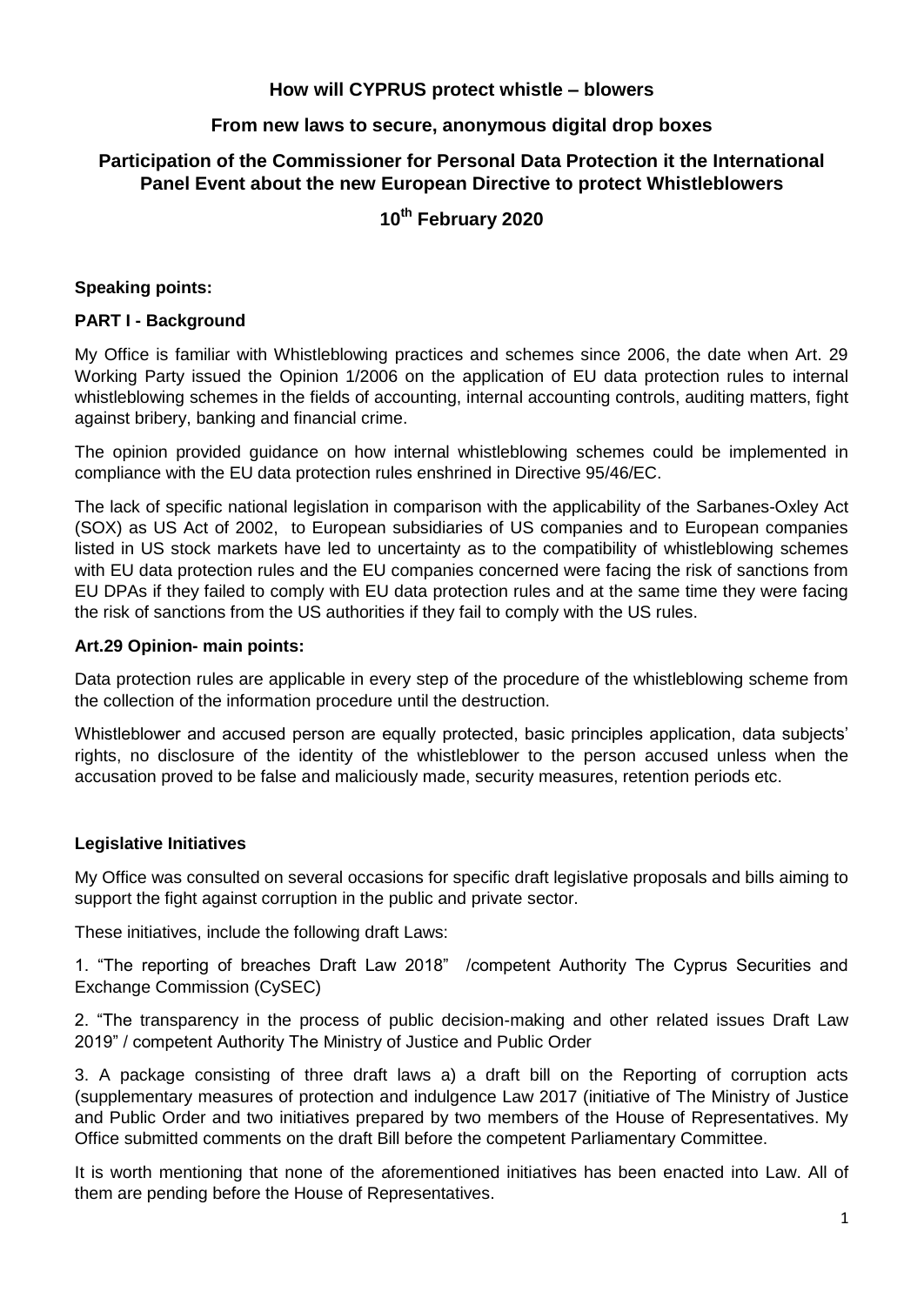## **How will CYPRUS protect whistle – blowers**

## **From new laws to secure, anonymous digital drop boxes**

# **Participation of the Commissioner for Personal Data Protection it the International Panel Event about the new European Directive to protect Whistleblowers**

# **10th February 2020**

### **Speaking points:**

### **PART I - Background**

My Office is familiar with Whistleblowing practices and schemes since 2006, the date when Art. 29 Working Party issued the Opinion 1/2006 on the application of EU data protection rules to internal whistleblowing schemes in the fields of accounting, internal accounting controls, auditing matters, fight against bribery, banking and financial crime.

The opinion provided guidance on how internal whistleblowing schemes could be implemented in compliance with the EU data protection rules enshrined in Directive 95/46/EC.

The lack of specific national legislation in comparison with the applicability of the Sarbanes-Oxley Act (SOX) as US Act of 2002, to European subsidiaries of US companies and to European companies listed in US stock markets have led to uncertainty as to the compatibility of whistleblowing schemes with EU data protection rules and the EU companies concerned were facing the risk of sanctions from EU DPAs if they failed to comply with EU data protection rules and at the same time they were facing the risk of sanctions from the US authorities if they fail to comply with the US rules.

#### **Art.29 Opinion- main points:**

Data protection rules are applicable in every step of the procedure of the whistleblowing scheme from the collection of the information procedure until the destruction.

Whistleblower and accused person are equally protected, basic principles application, data subjects' rights, no disclosure of the identity of the whistleblower to the person accused unless when the accusation proved to be false and maliciously made, security measures, retention periods etc.

### **Legislative Initiatives**

My Office was consulted on several occasions for specific draft legislative proposals and bills aiming to support the fight against corruption in the public and private sector.

These initiatives, include the following draft Laws:

1. "The reporting of breaches Draft Law 2018" /competent Authority The Cyprus Securities and Exchange Commission (CySEC)

2. "The transparency in the process of public decision-making and other related issues Draft Law 2019" / competent Authority The Ministry of Justice and Public Order

3. A package consisting of three draft laws a) a draft bill on the Reporting of corruption acts (supplementary measures of protection and indulgence Law 2017 (initiative of The Ministry of Justice and Public Order and two initiatives prepared by two members of the House of Representatives. My Office submitted comments on the draft Bill before the competent Parliamentary Committee.

It is worth mentioning that none of the aforementioned initiatives has been enacted into Law. All of them are pending before the House of Representatives.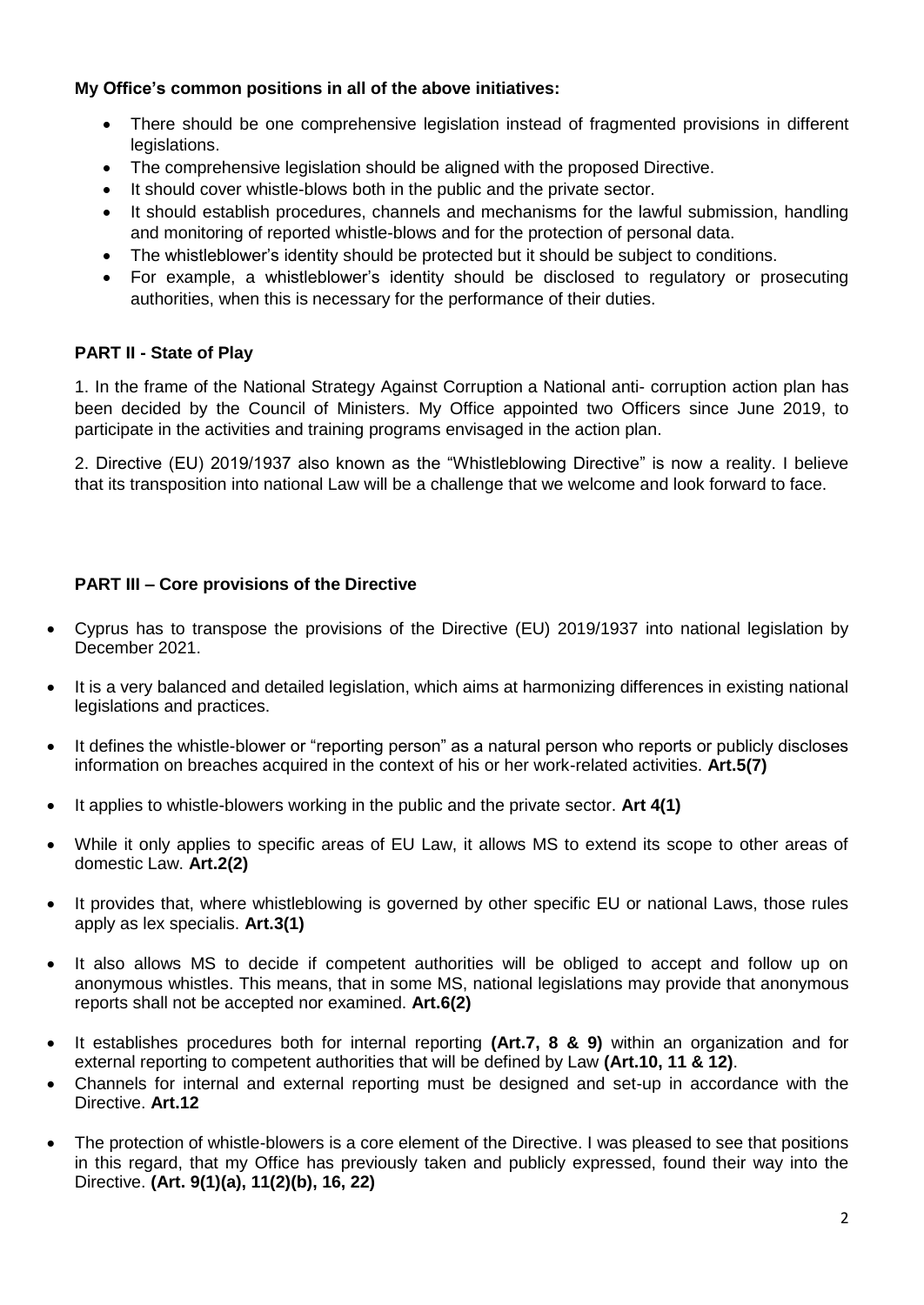## **My Office's common positions in all of the above initiatives:**

- There should be one comprehensive legislation instead of fragmented provisions in different legislations.
- The comprehensive legislation should be aligned with the proposed Directive.
- It should cover whistle-blows both in the public and the private sector.
- It should establish procedures, channels and mechanisms for the lawful submission, handling and monitoring of reported whistle-blows and for the protection of personal data.
- The whistleblower's identity should be protected but it should be subject to conditions.
- For example, a whistleblower's identity should be disclosed to regulatory or prosecuting authorities, when this is necessary for the performance of their duties.

## **PART II - State of Play**

1. In the frame of the National Strategy Against Corruption a National anti- corruption action plan has been decided by the Council of Ministers. My Office appointed two Officers since June 2019, to participate in the activities and training programs envisaged in the action plan.

2. Directive (EU) 2019/1937 also known as the "Whistleblowing Directive" is now a reality. I believe that its transposition into national Law will be a challenge that we welcome and look forward to face.

## **PART III – Core provisions of the Directive**

- Cyprus has to transpose the provisions of the Directive (EU) 2019/1937 into national legislation by December 2021.
- It is a very balanced and detailed legislation, which aims at harmonizing differences in existing national legislations and practices.
- It defines the whistle-blower or "reporting person" as a natural person who reports or publicly discloses information on breaches acquired in the context of his or her work-related activities. **Art.5(7)**
- It applies to whistle-blowers working in the public and the private sector. **Art 4(1)**
- While it only applies to specific areas of EU Law, it allows MS to extend its scope to other areas of domestic Law. **Art.2(2)**
- It provides that, where whistleblowing is governed by other specific EU or national Laws, those rules apply as lex specialis. **Art.3(1)**
- It also allows MS to decide if competent authorities will be obliged to accept and follow up on anonymous whistles. This means, that in some MS, national legislations may provide that anonymous reports shall not be accepted nor examined. **Art.6(2)**
- It establishes procedures both for internal reporting **(Art.7, 8 & 9)** within an organization and for external reporting to competent authorities that will be defined by Law **(Art.10, 11 & 12)**.
- Channels for internal and external reporting must be designed and set-up in accordance with the Directive. **Art.12**
- The protection of whistle-blowers is a core element of the Directive. I was pleased to see that positions in this regard, that my Office has previously taken and publicly expressed, found their way into the Directive. **(Art. 9(1)(a), 11(2)(b), 16, 22)**